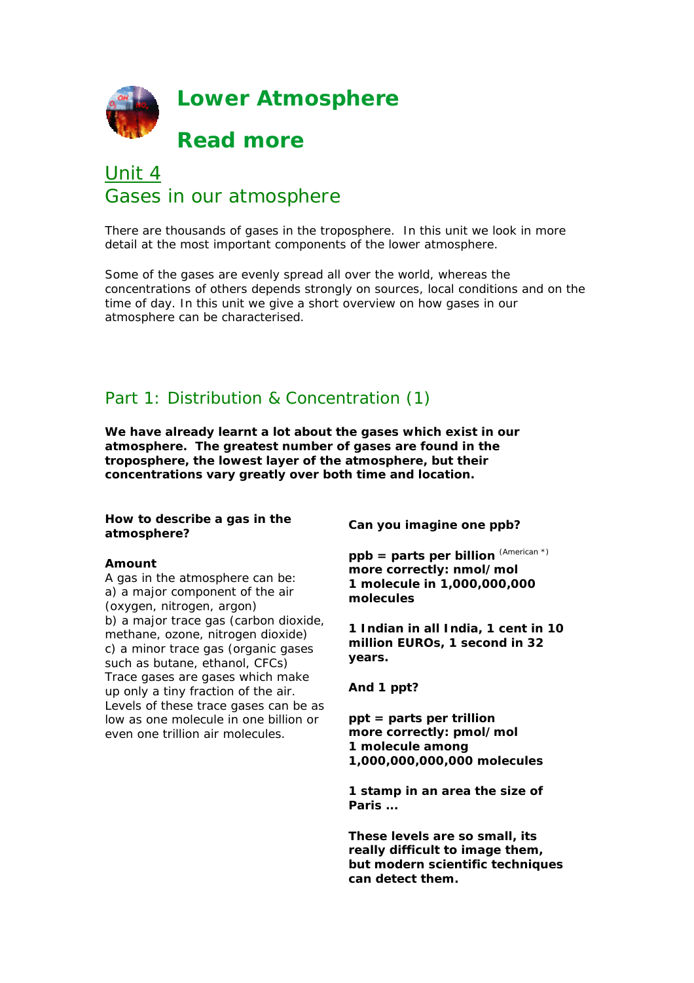

# Unit 4 Gases in our atmosphere

There are thousands of gases in the troposphere. In this unit we look in more detail at the most important components of the lower atmosphere.

Some of the gases are evenly spread all over the world, whereas the concentrations of others depends strongly on sources, local conditions and on the time of day. In this unit we give a short overview on how gases in our atmosphere can be characterised.

# Part 1: Distribution & Concentration (1)

**We have already learnt a lot about the gases which exist in our atmosphere. The greatest number of gases are found in the troposphere, the lowest layer of the atmosphere, but their concentrations vary greatly over both time and location.**

#### **How to describe a gas in the atmosphere?**

#### **Amount**

A gas in the atmosphere can be: a) a major component of the air (oxygen, nitrogen, argon) b) a major trace gas (carbon dioxide, methane, ozone, nitrogen dioxide) c) a minor trace gas (organic gases such as butane, ethanol, CFCs) Trace gases are gases which make up only a tiny fraction of the air. Levels of these trace gases can be as low as one molecule in one billion or even one trillion air molecules.

**Can you imagine one ppb?**

**ppb = parts per billion** (American \*) **more correctly: nmol/mol 1 molecule in 1,000,000,000 molecules**

**1 Indian in all India, 1 cent in 10 million EUROs, 1 second in 32 years.**

**And 1 ppt?**

**ppt = parts per trillion more correctly: pmol/mol 1 molecule among 1,000,000,000,000 molecules**

**1 stamp in an area the size of Paris ...**

**These levels are so small, its really difficult to image them, but modern scientific techniques can detect them.**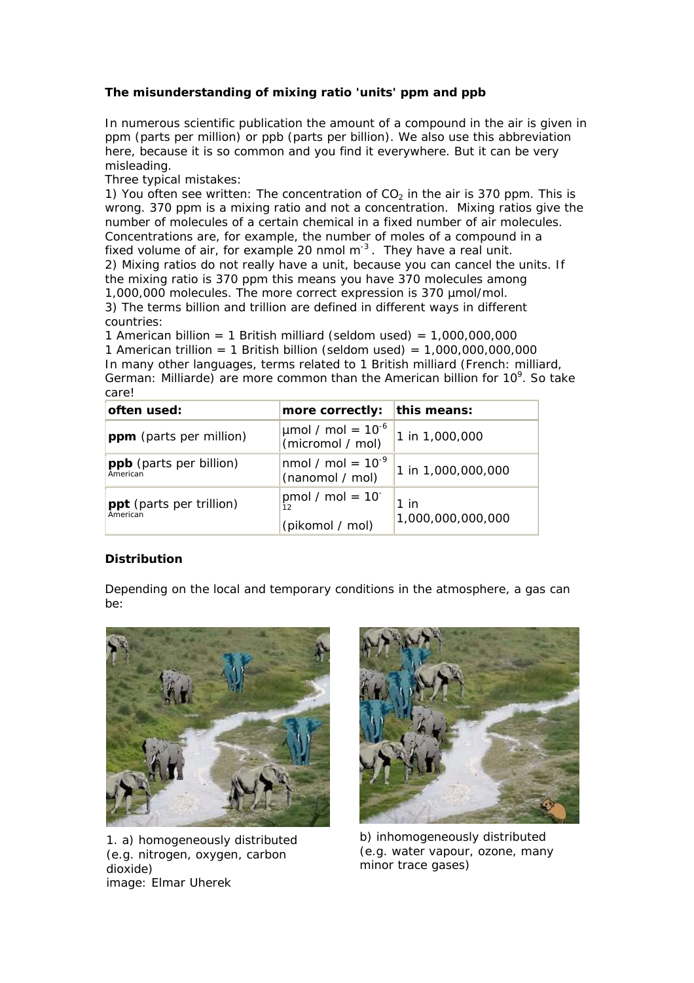## **The misunderstanding of mixing ratio 'units' ppm and ppb**

In numerous scientific publication the amount of a compound in the air is given in ppm (parts per million) or ppb (parts per billion). We also use this abbreviation here, because it is so common and you find it everywhere. But it can be very misleading.

Three typical mistakes:

1) You often see written: The concentration of  $CO<sub>2</sub>$  in the air is 370 ppm. This is wrong. 370 ppm is a mixing ratio and not a concentration. Mixing ratios give the number of molecules of a certain chemical in a fixed number of air molecules. Concentrations are, for example, the number of moles of a compound in a fixed volume of air, for example 20 nmol  $m<sup>3</sup>$ . They have a real unit. 2) Mixing ratios do not really have a unit, because you can cancel the units. If the mixing ratio is 370 ppm this means you have 370 molecules among 1,000,000 molecules. The more correct expression is 370 µmol/mol. 3) The terms billion and trillion are defined in different ways in different countries:

1 American billion = 1 British milliard (seldom used) =  $1,000,000,000$ 1 American trillion = 1 British billion (seldom used) =  $1,000,000,000,000$ In many other languages, terms related to 1 British milliard (French: milliard, German: Milliarde) are more common than the American billion for  $10^9$ . So take care!

| often used:                          | more correctly:                                        | this means:                 |
|--------------------------------------|--------------------------------------------------------|-----------------------------|
| ppm (parts per million)              | $\mu$ mol / mol = 10 <sup>-6</sup><br>(micromol / mol) | 1 in 1,000,000              |
| ppb (parts per billion)<br>American  | nmol / mol = $10^{-9}$<br>(nanomol / mol)              | 1 in 1,000,000,000          |
| ppt (parts per trillion)<br>American | pmol / mol = $10^{-}$<br>(pikomol / mol)               | $1$ in<br>1,000,000,000,000 |

## **Distribution**

Depending on the local and temporary conditions in the atmosphere, a gas can be:



1. a) homogeneously distributed (e.g. nitrogen, oxygen, carbon dioxide) image: Elmar Uherek



b) inhomogeneously distributed (e.g. water vapour, ozone, many minor trace gases)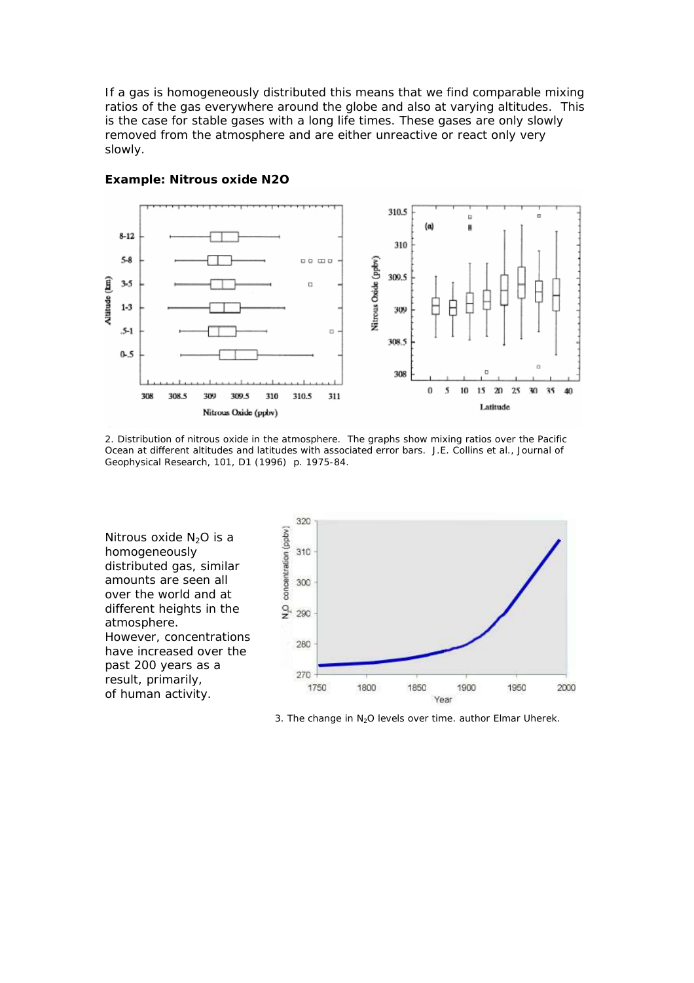If a gas is homogeneously distributed this means that we find comparable mixing ratios of the gas everywhere around the globe and also at varying altitudes. This is the case for stable gases with a long life times. These gases are only slowly removed from the atmosphere and are either unreactive or react only very slowly.



#### **Example: Nitrous oxide N2O**

2. Distribution of nitrous oxide in the atmosphere. The graphs show mixing ratios over the Pacific Ocean at different altitudes and latitudes with associated error bars. J.E. Collins et al., Journal of Geophysical Research, 101, D1 (1996) p. 1975-84.

Nitrous oxide  $N_2O$  is a homogeneously distributed gas, similar amounts are seen all over the world and at different heights in the atmosphere. However, concentrations have increased over the past 200 years as a result, primarily, of human activity.



3. The change in  $N_2O$  levels over time. author Elmar Uherek.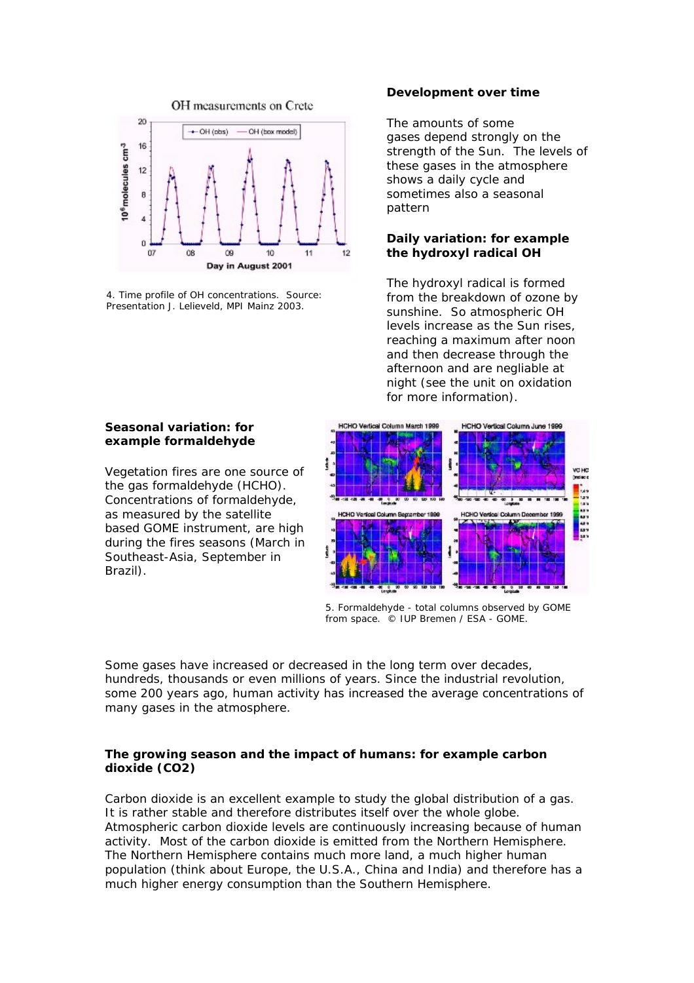

4. Time profile of OH concentrations. Source: Presentation J. Lelieveld, MPI Mainz 2003.

#### **Development over time**

The amounts of some gases depend strongly on the strength of the Sun. The levels of these gases in the atmosphere shows a daily cycle and sometimes also a seasonal pattern

### **Daily variation: for example the hydroxyl radical OH**

The hydroxyl radical is formed from the breakdown of ozone by sunshine. So atmospheric OH levels increase as the Sun rises, reaching a maximum after noon and then decrease through the afternoon and are negliable at night (see the unit on oxidation for more information).

# **Seasonal variation: for example formaldehyde**

Vegetation fires are one source of the gas formaldehyde (HCHO). Concentrations of formaldehyde, as measured by the satellite based GOME instrument, are high during the fires seasons (March in Southeast-Asia, September in Brazil).



5. Formaldehyde - total columns observed by GOME from space. © IUP Bremen / ESA - GOME.

Some gases have increased or decreased in the long term over decades, hundreds, thousands or even millions of years. Since the industrial revolution, some 200 years ago, human activity has increased the average concentrations of many gases in the atmosphere.

#### **The growing season and the impact of humans: for example carbon dioxide (CO2)**

Carbon dioxide is an excellent example to study the global distribution of a gas. It is rather stable and therefore distributes itself over the whole globe. Atmospheric carbon dioxide levels are continuously increasing because of human activity. Most of the carbon dioxide is emitted from the Northern Hemisphere. The Northern Hemisphere contains much more land, a much higher human population (think about Europe, the U.S.A., China and India) and therefore has a much higher energy consumption than the Southern Hemisphere.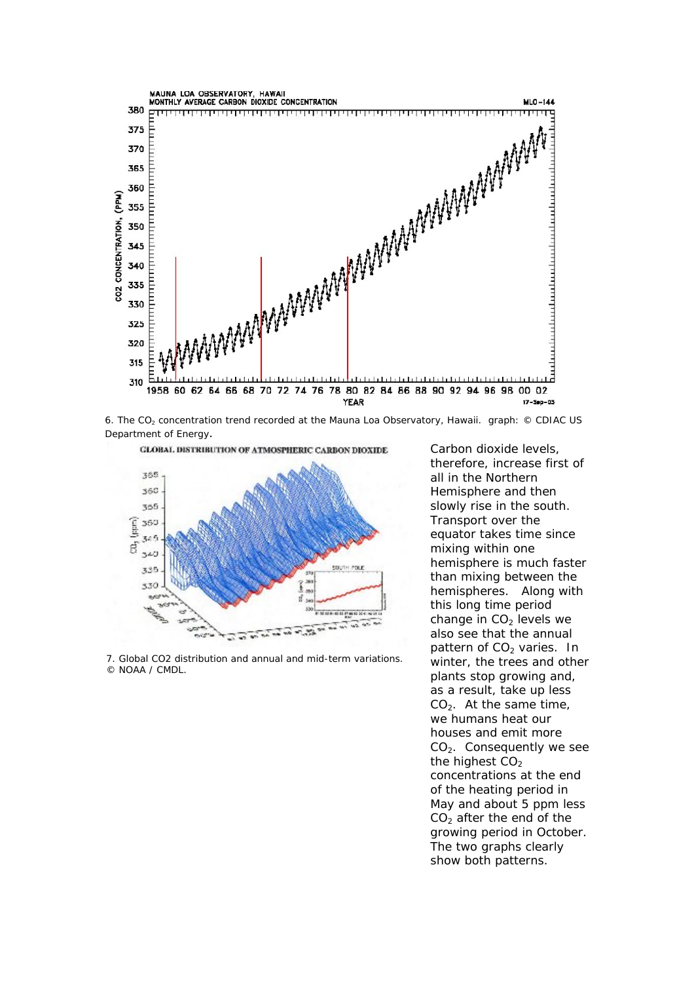

6. The CO<sub>2</sub> concentration trend recorded at the Mauna Loa Observatory, Hawaii. graph: © CDIAC US Department of Energy.



7. Global CO2 distribution and annual and mid-term variations. © NOAA / CMDL.

Carbon dioxide levels, therefore, increase first of all in the Northern Hemisphere and then slowly rise in the south. Transport over the equator takes time since mixing within one hemisphere is much faster than mixing between the hemispheres. Along with this long time period change in  $CO<sub>2</sub>$  levels we also see that the annual pattern of  $CO<sub>2</sub>$  varies. In winter, the trees and other plants stop growing and, as a result, take up less  $CO<sub>2</sub>$ . At the same time, we humans heat our houses and emit more  $CO<sub>2</sub>$ . Consequently we see the highest  $CO<sub>2</sub>$ concentrations at the end of the heating period in May and about 5 ppm less  $CO<sub>2</sub>$  after the end of the growing period in October. The two graphs clearly show both patterns.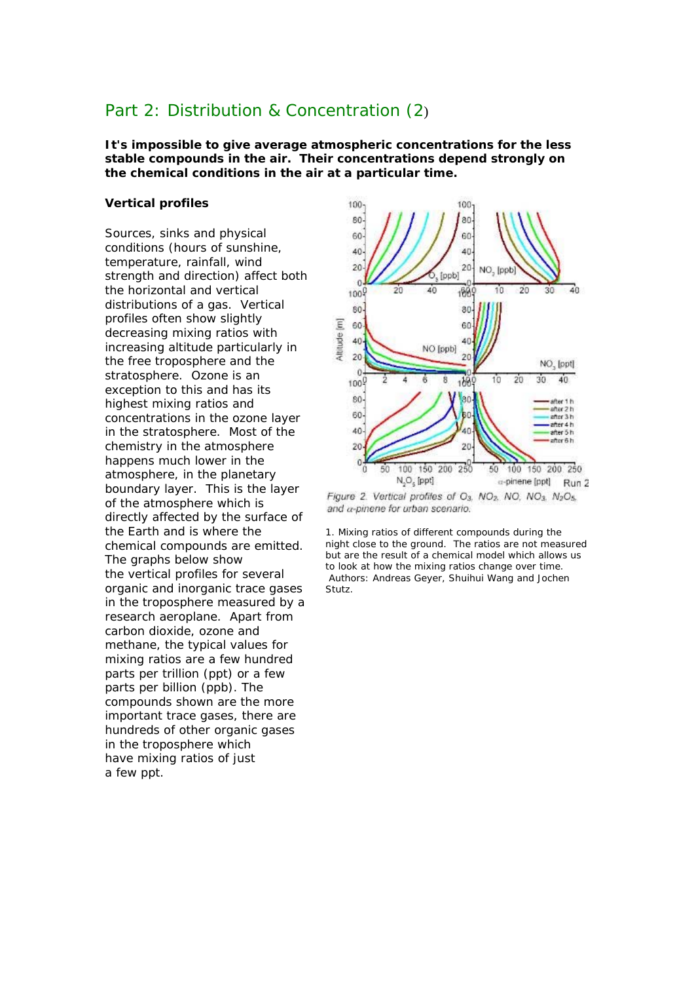# Part 2: Distribution & Concentration (2)

**It's impossible to give average atmospheric concentrations for the less stable compounds in the air. Their concentrations depend strongly on the chemical conditions in the air at a particular time.**

#### **Vertical profiles**

Sources, sinks and physical conditions (hours of sunshine, temperature, rainfall, wind strength and direction) affect both the horizontal and vertical distributions of a gas. Vertical profiles often show slightly decreasing mixing ratios with increasing altitude particularly in the free troposphere and the stratosphere. Ozone is an exception to this and has its highest mixing ratios and concentrations in the ozone layer in the stratosphere. Most of the chemistry in the atmosphere happens much lower in the atmosphere, in the planetary boundary layer. This is the layer of the atmosphere which is directly affected by the surface of the Earth and is where the chemical compounds are emitted. The graphs below show the vertical profiles for several organic and inorganic trace gases in the troposphere measured by a research aeroplane. Apart from carbon dioxide, ozone and methane, the typical values for mixing ratios are a few hundred parts per trillion (ppt) or a few parts per billion (ppb). The compounds shown are the more important trace gases, there are hundreds of other organic gases in the troposphere which have mixing ratios of just a few ppt.



and a-pinene for urban scenario.

1. Mixing ratios of different compounds during the night close to the ground. The ratios are not measured but are the result of a chemical model which allows us to look at how the mixing ratios change over time. Authors: Andreas Geyer, Shuihui Wang and Jochen Stutz.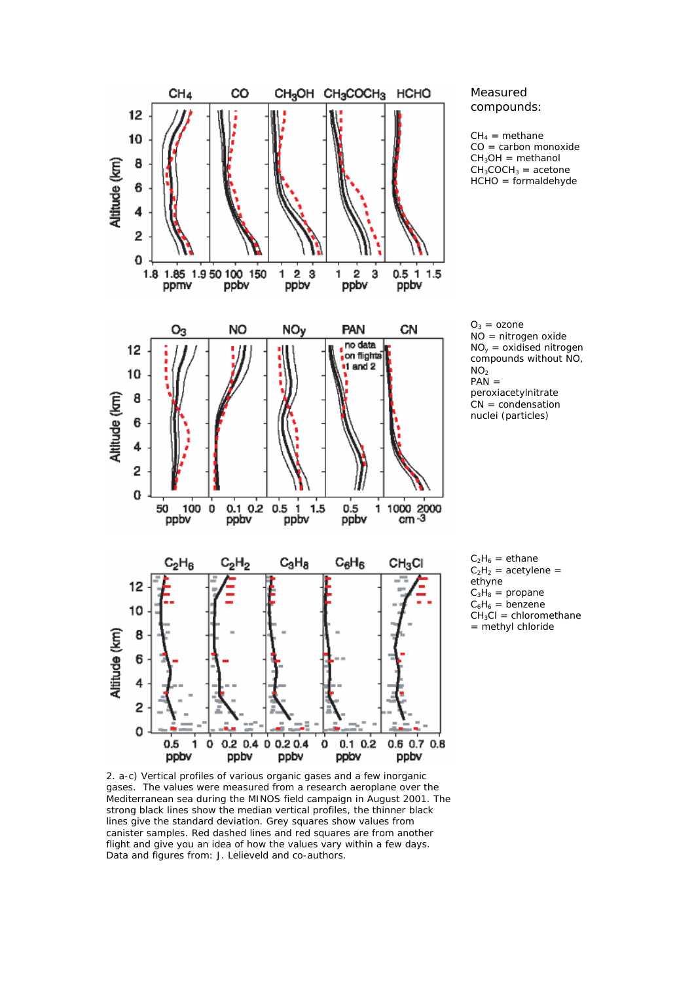

#### Measured compounds:

 $CH_4$  = methane CO = carbon monoxide  $CH<sub>3</sub>OH = methanol$  $CH<sub>3</sub>COCH<sub>3</sub> = acetone$ HCHO = formaldehyde

 $O_3 = ozone$ NO = nitrogen oxide  $NO<sub>v</sub> = oxidised nitrogen$ compounds without NO,  $NO<sub>2</sub>$  $PAN =$ peroxiacetylnitrate  $CN = condensation$ nuclei (particles)

 $C_2H_6 = ethane$  $C_2H_2$  = acetylene = ethyne  $C_3H_8$  = propane  $C_6H_6 = \text{benzene}$  $CH<sub>3</sub>Cl = chloromethane$ = methyl chloride

2. a-c) Vertical profiles of various organic gases and a few inorganic gases. The values were measured from a research aeroplane over the Mediterranean sea during the MINOS field campaign in August 2001. The strong black lines show the median vertical profiles, the thinner black lines give the standard deviation. Grey squares show values from canister samples. Red dashed lines and red squares are from another flight and give you an idea of how the values vary within a few days. Data and figures from: J. Lelieveld and co-authors.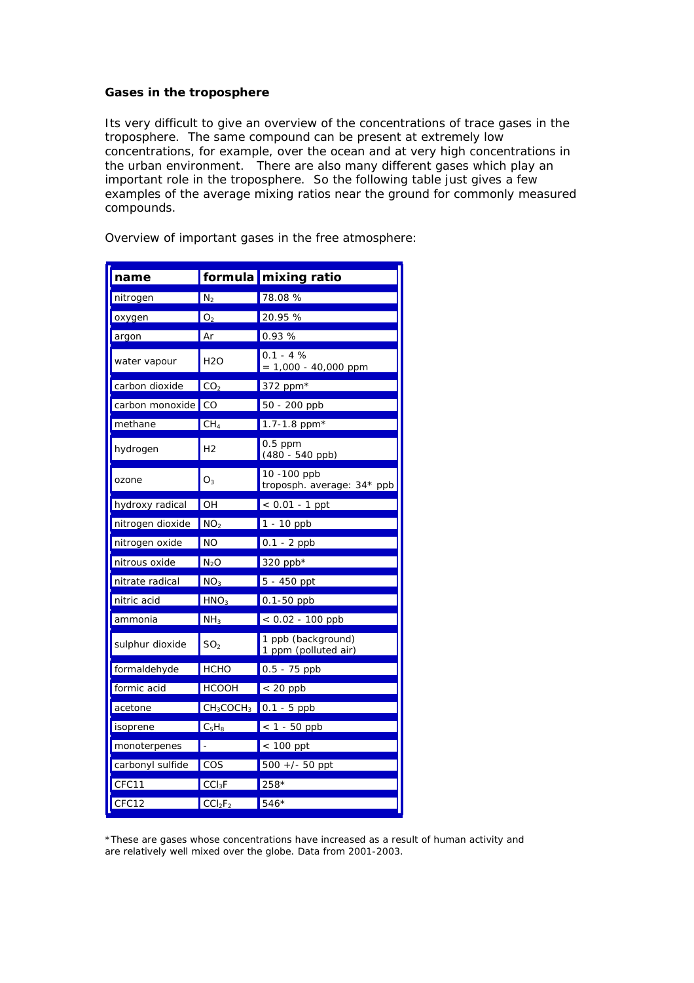#### **Gases in the troposphere**

Its very difficult to give an overview of the concentrations of trace gases in the troposphere. The same compound can be present at extremely low concentrations, for example, over the ocean and at very high concentrations in the urban environment. There are also many different gases which play an important role in the troposphere. So the following table just gives a few examples of the average mixing ratios near the ground for commonly measured compounds.

| name               |                                 | formula mixing ratio                       |
|--------------------|---------------------------------|--------------------------------------------|
| nitrogen           | $N_2$                           | 78.08 %                                    |
| oxygen             | O <sub>2</sub>                  | 20.95 %                                    |
| argon              | Ar                              | 0.93%                                      |
| water vapour       | <b>H2O</b>                      | $0.1 - 4%$<br>$= 1,000 - 40,000$ ppm       |
| carbon dioxide     | CO <sub>2</sub>                 | 372 ppm*                                   |
| carbon monoxide CO |                                 | 50 - 200 ppb                               |
| methane            | CH <sub>4</sub>                 | 1.7-1.8 ppm $*$                            |
| hydrogen           | Η2                              | $0.5$ ppm<br>$(480 - 540$ ppb)             |
| ozone              | $O_3$                           | 10 - 100 ppb<br>troposph. average: 34* ppb |
| hydroxy radical    | OH                              | $< 0.01 - 1$ ppt                           |
| nitrogen dioxide   | NO <sub>2</sub>                 | $1 - 10$ ppb                               |
| nitrogen oxide     | NO                              | $0.1 - 2$ ppb                              |
| nitrous oxide      | N <sub>2</sub> O                | 320 ppb*                                   |
| nitrate radical    | $NQ_3$                          | 5 - 450 ppt                                |
| nitric acid        | HNO <sub>3</sub>                | $0.1 - 50$ ppb                             |
| ammonia            | NH <sub>3</sub>                 | $< 0.02 - 100$ ppb                         |
| sulphur dioxide    | SO <sub>2</sub>                 | 1 ppb (background)<br>1 ppm (polluted air) |
| formaldehyde       | <b>HCHO</b>                     | $0.5 - 75$ ppb                             |
| formic acid        | <b>HCOOH</b>                    | $< 20$ ppb                                 |
| acetone            | $CH_3COCH_3$                    | $0.1 - 5$ ppb                              |
| isoprene           | $C_5H_8$                        | $< 1 - 50$ ppb                             |
| monoterpenes       |                                 | $< 100$ ppt                                |
| carbonyl sulfide   | cos                             | $500 +/- 50$ ppt                           |
| CFC11              | CCI <sub>3</sub> F              | 258*                                       |
| CFC12              | CCI <sub>2</sub> F <sub>2</sub> | 546*                                       |

Overview of important gases in the free atmosphere:

\*These are gases whose concentrations have increased as a result of human activity and are relatively well mixed over the globe. Data from 2001-2003.